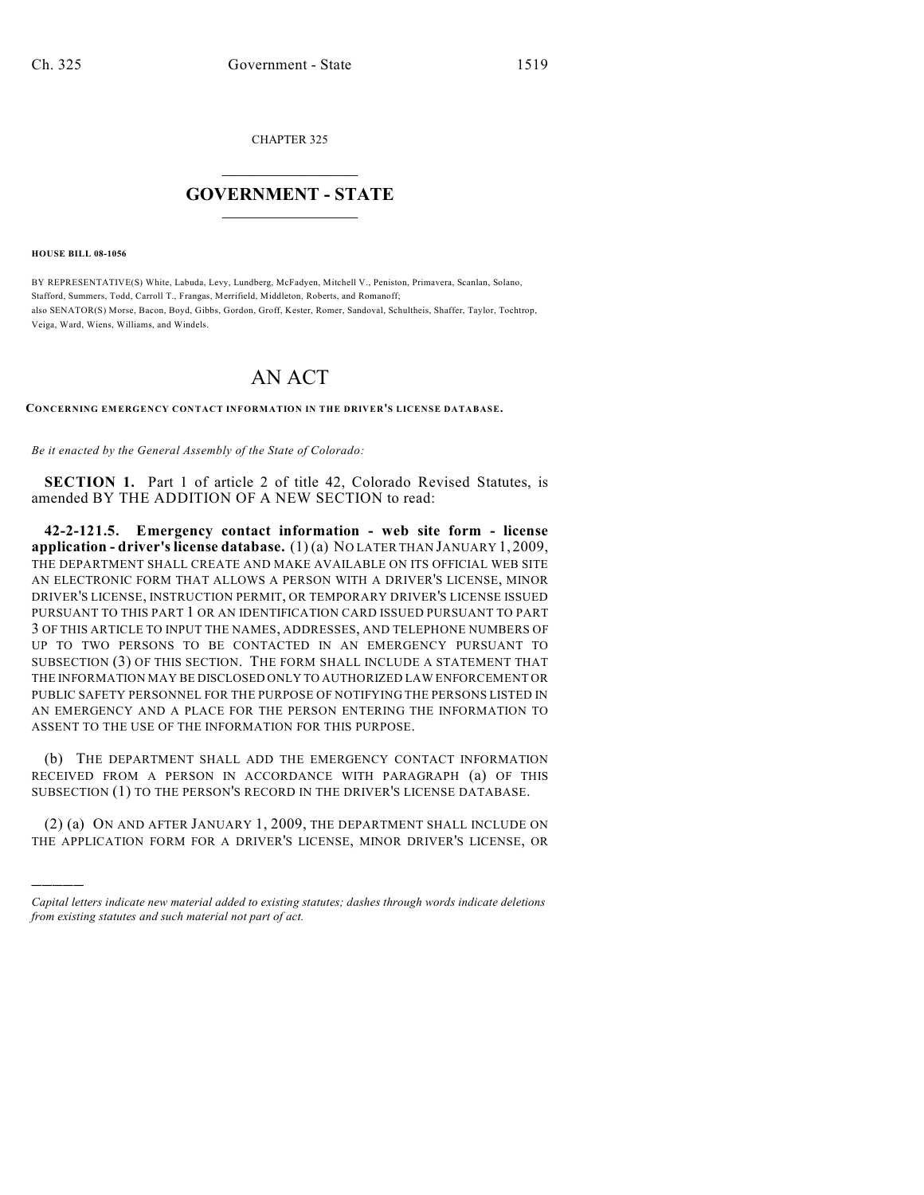CHAPTER 325

## $\mathcal{L}_\text{max}$  . The set of the set of the set of the set of the set of the set of the set of the set of the set of the set of the set of the set of the set of the set of the set of the set of the set of the set of the set **GOVERNMENT - STATE**  $\_$   $\_$   $\_$   $\_$   $\_$   $\_$   $\_$   $\_$   $\_$

**HOUSE BILL 08-1056**

)))))

BY REPRESENTATIVE(S) White, Labuda, Levy, Lundberg, McFadyen, Mitchell V., Peniston, Primavera, Scanlan, Solano, Stafford, Summers, Todd, Carroll T., Frangas, Merrifield, Middleton, Roberts, and Romanoff; also SENATOR(S) Morse, Bacon, Boyd, Gibbs, Gordon, Groff, Kester, Romer, Sandoval, Schultheis, Shaffer, Taylor, Tochtrop, Veiga, Ward, Wiens, Williams, and Windels.

## AN ACT

**CONCERNING EMERGENCY CONTACT INFORMATION IN THE DRIVER'S LICENSE DATABASE.**

*Be it enacted by the General Assembly of the State of Colorado:*

**SECTION 1.** Part 1 of article 2 of title 42, Colorado Revised Statutes, is amended BY THE ADDITION OF A NEW SECTION to read:

**42-2-121.5. Emergency contact information - web site form - license application - driver's license database.** (1) (a) NO LATER THAN JANUARY 1, 2009, THE DEPARTMENT SHALL CREATE AND MAKE AVAILABLE ON ITS OFFICIAL WEB SITE AN ELECTRONIC FORM THAT ALLOWS A PERSON WITH A DRIVER'S LICENSE, MINOR DRIVER'S LICENSE, INSTRUCTION PERMIT, OR TEMPORARY DRIVER'S LICENSE ISSUED PURSUANT TO THIS PART 1 OR AN IDENTIFICATION CARD ISSUED PURSUANT TO PART 3 OF THIS ARTICLE TO INPUT THE NAMES, ADDRESSES, AND TELEPHONE NUMBERS OF UP TO TWO PERSONS TO BE CONTACTED IN AN EMERGENCY PURSUANT TO SUBSECTION (3) OF THIS SECTION. THE FORM SHALL INCLUDE A STATEMENT THAT THE INFORMATION MAY BE DISCLOSED ONLY TO AUTHORIZED LAW ENFORCEMENT OR PUBLIC SAFETY PERSONNEL FOR THE PURPOSE OF NOTIFYING THE PERSONS LISTED IN AN EMERGENCY AND A PLACE FOR THE PERSON ENTERING THE INFORMATION TO ASSENT TO THE USE OF THE INFORMATION FOR THIS PURPOSE.

(b) THE DEPARTMENT SHALL ADD THE EMERGENCY CONTACT INFORMATION RECEIVED FROM A PERSON IN ACCORDANCE WITH PARAGRAPH (a) OF THIS SUBSECTION (1) TO THE PERSON'S RECORD IN THE DRIVER'S LICENSE DATABASE.

(2) (a) ON AND AFTER JANUARY 1, 2009, THE DEPARTMENT SHALL INCLUDE ON THE APPLICATION FORM FOR A DRIVER'S LICENSE, MINOR DRIVER'S LICENSE, OR

*Capital letters indicate new material added to existing statutes; dashes through words indicate deletions from existing statutes and such material not part of act.*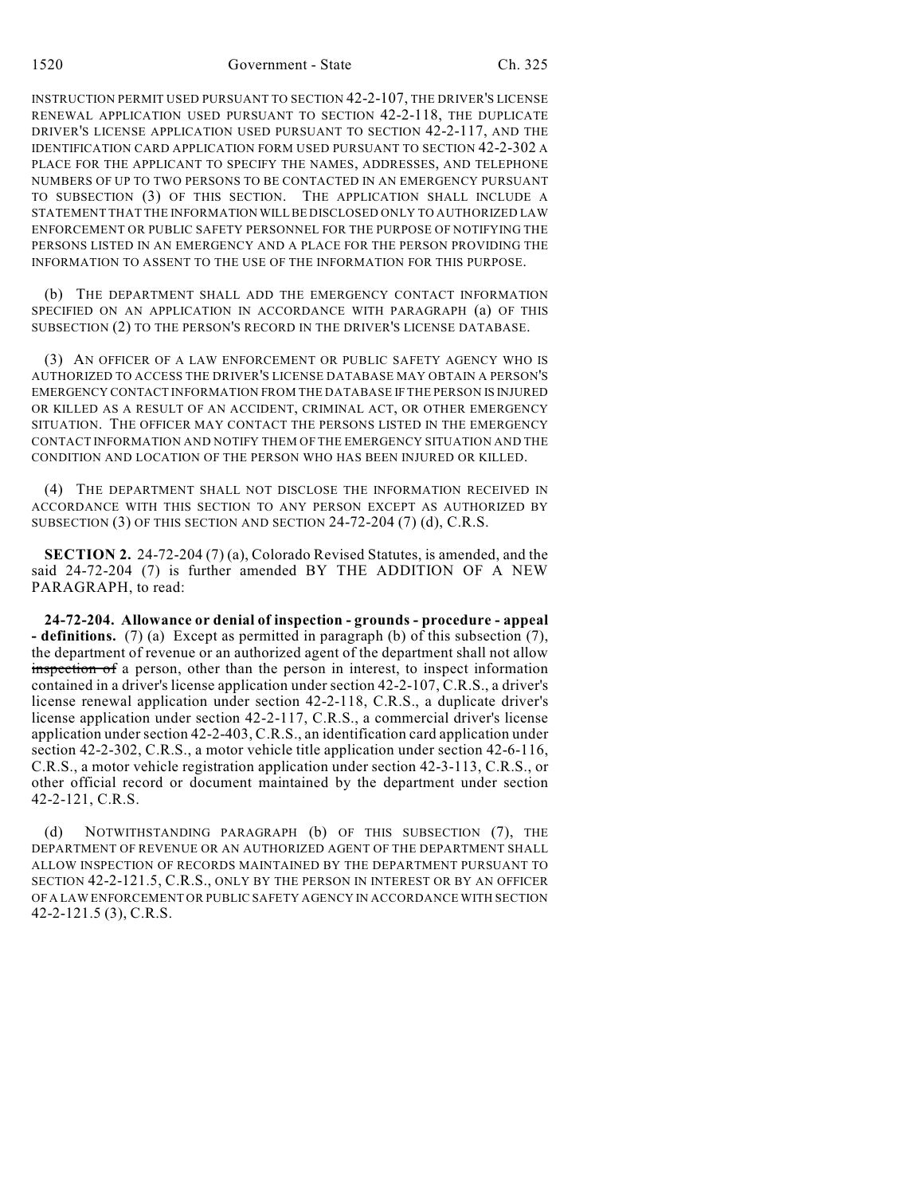INSTRUCTION PERMIT USED PURSUANT TO SECTION 42-2-107, THE DRIVER'S LICENSE RENEWAL APPLICATION USED PURSUANT TO SECTION 42-2-118, THE DUPLICATE DRIVER'S LICENSE APPLICATION USED PURSUANT TO SECTION 42-2-117, AND THE IDENTIFICATION CARD APPLICATION FORM USED PURSUANT TO SECTION 42-2-302 A PLACE FOR THE APPLICANT TO SPECIFY THE NAMES, ADDRESSES, AND TELEPHONE NUMBERS OF UP TO TWO PERSONS TO BE CONTACTED IN AN EMERGENCY PURSUANT TO SUBSECTION (3) OF THIS SECTION. THE APPLICATION SHALL INCLUDE A STATEMENT THAT THE INFORMATION WILL BE DISCLOSED ONLY TO AUTHORIZED LAW ENFORCEMENT OR PUBLIC SAFETY PERSONNEL FOR THE PURPOSE OF NOTIFYING THE PERSONS LISTED IN AN EMERGENCY AND A PLACE FOR THE PERSON PROVIDING THE INFORMATION TO ASSENT TO THE USE OF THE INFORMATION FOR THIS PURPOSE.

(b) THE DEPARTMENT SHALL ADD THE EMERGENCY CONTACT INFORMATION SPECIFIED ON AN APPLICATION IN ACCORDANCE WITH PARAGRAPH (a) OF THIS SUBSECTION (2) TO THE PERSON'S RECORD IN THE DRIVER'S LICENSE DATABASE.

(3) AN OFFICER OF A LAW ENFORCEMENT OR PUBLIC SAFETY AGENCY WHO IS AUTHORIZED TO ACCESS THE DRIVER'S LICENSE DATABASE MAY OBTAIN A PERSON'S EMERGENCY CONTACT INFORMATION FROM THE DATABASE IF THE PERSON IS INJURED OR KILLED AS A RESULT OF AN ACCIDENT, CRIMINAL ACT, OR OTHER EMERGENCY SITUATION. THE OFFICER MAY CONTACT THE PERSONS LISTED IN THE EMERGENCY CONTACT INFORMATION AND NOTIFY THEM OF THE EMERGENCY SITUATION AND THE CONDITION AND LOCATION OF THE PERSON WHO HAS BEEN INJURED OR KILLED.

(4) THE DEPARTMENT SHALL NOT DISCLOSE THE INFORMATION RECEIVED IN ACCORDANCE WITH THIS SECTION TO ANY PERSON EXCEPT AS AUTHORIZED BY SUBSECTION (3) OF THIS SECTION AND SECTION 24-72-204 (7) (d), C.R.S.

**SECTION 2.** 24-72-204 (7) (a), Colorado Revised Statutes, is amended, and the said 24-72-204 (7) is further amended BY THE ADDITION OF A NEW PARAGRAPH, to read:

**24-72-204. Allowance or denial of inspection - grounds - procedure - appeal - definitions.** (7) (a) Except as permitted in paragraph (b) of this subsection (7), the department of revenue or an authorized agent of the department shall not allow inspection of a person, other than the person in interest, to inspect information contained in a driver's license application under section 42-2-107, C.R.S., a driver's license renewal application under section 42-2-118, C.R.S., a duplicate driver's license application under section 42-2-117, C.R.S., a commercial driver's license application under section 42-2-403, C.R.S., an identification card application under section 42-2-302, C.R.S., a motor vehicle title application under section 42-6-116, C.R.S., a motor vehicle registration application under section 42-3-113, C.R.S., or other official record or document maintained by the department under section 42-2-121, C.R.S.

(d) NOTWITHSTANDING PARAGRAPH (b) OF THIS SUBSECTION (7), THE DEPARTMENT OF REVENUE OR AN AUTHORIZED AGENT OF THE DEPARTMENT SHALL ALLOW INSPECTION OF RECORDS MAINTAINED BY THE DEPARTMENT PURSUANT TO SECTION 42-2-121.5, C.R.S., ONLY BY THE PERSON IN INTEREST OR BY AN OFFICER OF A LAW ENFORCEMENT OR PUBLIC SAFETY AGENCY IN ACCORDANCE WITH SECTION 42-2-121.5 (3), C.R.S.